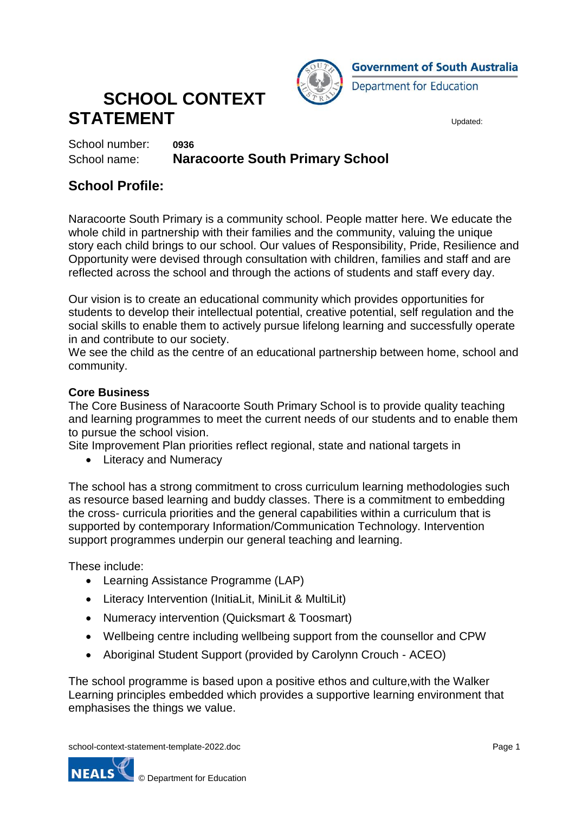

# **SCHOOL CONTEXT STATEMENT** Updated:

School number: **0936**

School name: **Naracoorte South Primary School**

### **School Profile:**

Naracoorte South Primary is a community school. People matter here. We educate the whole child in partnership with their families and the community, valuing the unique story each child brings to our school. Our values of Responsibility, Pride, Resilience and Opportunity were devised through consultation with children, families and staff and are reflected across the school and through the actions of students and staff every day.

Our vision is to create an educational community which provides opportunities for students to develop their intellectual potential, creative potential, self regulation and the social skills to enable them to actively pursue lifelong learning and successfully operate in and contribute to our society.

We see the child as the centre of an educational partnership between home, school and community.

#### **Core Business**

The Core Business of Naracoorte South Primary School is to provide quality teaching and learning programmes to meet the current needs of our students and to enable them to pursue the school vision.

Site Improvement Plan priorities reflect regional, state and national targets in

• Literacy and Numeracy

The school has a strong commitment to cross curriculum learning methodologies such as resource based learning and buddy classes. There is a commitment to embedding the cross- curricula priorities and the general capabilities within a curriculum that is supported by contemporary Information/Communication Technology. Intervention support programmes underpin our general teaching and learning.

These include:

- Learning Assistance Programme (LAP)
- Literacy Intervention (InitiaLit, MiniLit & MultiLit)
- Numeracy intervention (Quicksmart & Toosmart)
- Wellbeing centre including wellbeing support from the counsellor and CPW
- Aboriginal Student Support (provided by Carolynn Crouch ACEO)

The school programme is based upon a positive ethos and culture,with the Walker Learning principles embedded which provides a supportive learning environment that emphasises the things we value.

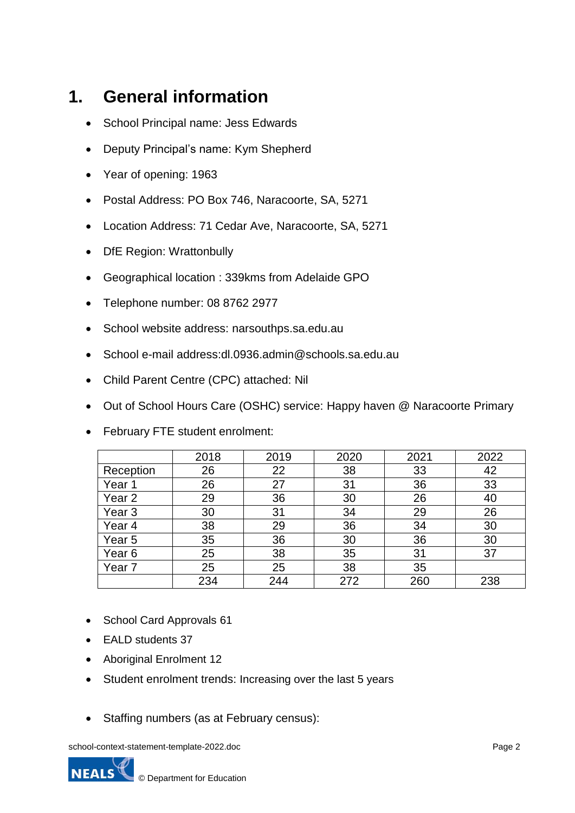# **1. General information**

- School Principal name: Jess Edwards
- Deputy Principal's name: Kym Shepherd
- Year of opening: 1963
- Postal Address: PO Box 746, Naracoorte, SA, 5271
- Location Address: 71 Cedar Ave, Naracoorte, SA, 5271
- DfE Region: Wrattonbully
- Geographical location : 339kms from Adelaide GPO
- Telephone number: 08 8762 2977
- School website address: narsouthps.sa.edu.au
- School e-mail address:dl.0936.admin@schools.sa.edu.au
- Child Parent Centre (CPC) attached: Nil
- Out of School Hours Care (OSHC) service: Happy haven @ Naracoorte Primary
- February FTE student enrolment:

|                   | 2018 | 2019 | 2020 | 2021 | 2022 |
|-------------------|------|------|------|------|------|
| Reception         | 26   | 22   | 38   | 33   | 42   |
| Year 1            | 26   | 27   | 31   | 36   | 33   |
| Year <sub>2</sub> | 29   | 36   | 30   | 26   | 40   |
| Year <sub>3</sub> | 30   | 31   | 34   | 29   | 26   |
| Year 4            | 38   | 29   | 36   | 34   | 30   |
| Year <sub>5</sub> | 35   | 36   | 30   | 36   | 30   |
| Year <sub>6</sub> | 25   | 38   | 35   | 31   | 37   |
| Year 7            | 25   | 25   | 38   | 35   |      |
|                   | 234  | 244  | 272  | 260  | 238  |

- School Card Approvals 61
- EALD students 37
- Aboriginal Enrolment 12
- Student enrolment trends: Increasing over the last 5 years
- Staffing numbers (as at February census):

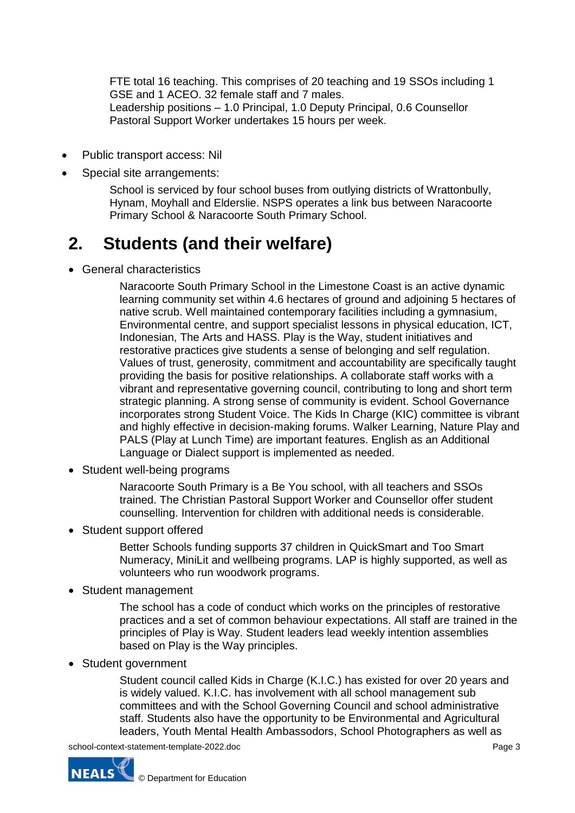FTE total 16 teaching. This comprises of 20 teaching and 19 SSOs including 1 GSE and 1 ACEO. 32 female staff and 7 males. Leadership positions – 1.0 Principal, 1.0 Deputy Principal, 0.6 Counsellor Pastoral Support Worker undertakes 15 hours per week.

- Public transport access: Nil
- Special site arrangements:

School is serviced by four school buses from outlying districts of Wrattonbully, Hynam, Moyhall and Elderslie. NSPS operates a link bus between Naracoorte Primary School & Naracoorte South Primary School.

### **2. Students (and their welfare)**

General characteristics

Naracoorte South Primary School in the Limestone Coast is an active dynamic learning community set within 4.6 hectares of ground and adjoining 5 hectares of native scrub. Well maintained contemporary facilities including a gymnasium, Environmental centre, and support specialist lessons in physical education, ICT, Indonesian, The Arts and HASS. Play is the Way, student initiatives and restorative practices give students a sense of belonging and self regulation. Values of trust, generosity, commitment and accountability are specifically taught providing the basis for positive relationships. A collaborate staff works with a vibrant and representative governing council, contributing to long and short term strategic planning. A strong sense of community is evident. School Governance incorporates strong Student Voice. The Kids In Charge (KIC) committee is vibrant and highly effective in decision-making forums. Walker Learning, Nature Play and PALS (Play at Lunch Time) are important features. English as an Additional Language or Dialect support is implemented as needed.

• Student well-being programs

Naracoorte South Primary is a Be You school, with all teachers and SSOs trained. The Christian Pastoral Support Worker and Counsellor offer student counselling. Intervention for children with additional needs is considerable.

• Student support offered

Better Schools funding supports 37 children in QuickSmart and Too Smart Numeracy, MiniLit and wellbeing programs. LAP is highly supported, as well as volunteers who run woodwork programs.

• Student management

The school has a code of conduct which works on the principles of restorative practices and a set of common behaviour expectations. All staff are trained in the principles of Play is Way. Student leaders lead weekly intention assemblies based on Play is the Way principles.

• Student government

Student council called Kids in Charge (K.I.C.) has existed for over 20 years and is widely valued. K.I.C. has involvement with all school management sub committees and with the School Governing Council and school administrative staff. Students also have the opportunity to be Environmental and Agricultural leaders, Youth Mental Health Ambassodors, School Photographers as well as

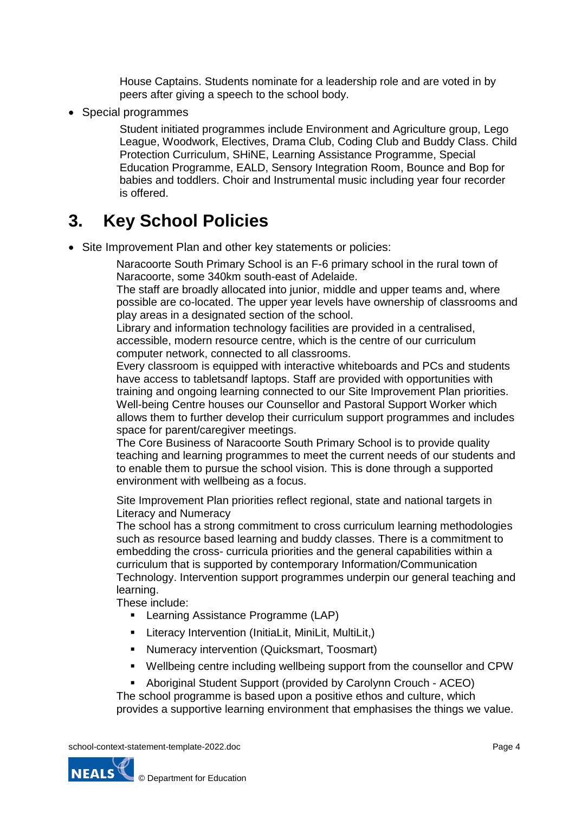House Captains. Students nominate for a leadership role and are voted in by peers after giving a speech to the school body.

• Special programmes

Student initiated programmes include Environment and Agriculture group, Lego League, Woodwork, Electives, Drama Club, Coding Club and Buddy Class. Child Protection Curriculum, SHiNE, Learning Assistance Programme, Special Education Programme, EALD, Sensory Integration Room, Bounce and Bop for babies and toddlers. Choir and Instrumental music including year four recorder is offered.

# **3. Key School Policies**

• Site Improvement Plan and other key statements or policies:

Naracoorte South Primary School is an F-6 primary school in the rural town of Naracoorte, some 340km south-east of Adelaide.

The staff are broadly allocated into junior, middle and upper teams and, where possible are co-located. The upper year levels have ownership of classrooms and play areas in a designated section of the school.

Library and information technology facilities are provided in a centralised, accessible, modern resource centre, which is the centre of our curriculum computer network, connected to all classrooms.

Every classroom is equipped with interactive whiteboards and PCs and students have access to tabletsandf laptops. Staff are provided with opportunities with training and ongoing learning connected to our Site Improvement Plan priorities. Well-being Centre houses our Counsellor and Pastoral Support Worker which allows them to further develop their curriculum support programmes and includes space for parent/caregiver meetings.

The Core Business of Naracoorte South Primary School is to provide quality teaching and learning programmes to meet the current needs of our students and to enable them to pursue the school vision. This is done through a supported environment with wellbeing as a focus.

Site Improvement Plan priorities reflect regional, state and national targets in Literacy and Numeracy

The school has a strong commitment to cross curriculum learning methodologies such as resource based learning and buddy classes. There is a commitment to embedding the cross- curricula priorities and the general capabilities within a curriculum that is supported by contemporary Information/Communication Technology. Intervention support programmes underpin our general teaching and learning.

These include:

- **EXECTE:** Learning Assistance Programme (LAP)
- **E** Literacy Intervention (InitiaLit, MiniLit, MultiLit,)
- **Numeracy intervention (Quicksmart, Toosmart)**
- Wellbeing centre including wellbeing support from the counsellor and CPW
- Aboriginal Student Support (provided by Carolynn Crouch ACEO)

The school programme is based upon a positive ethos and culture, which provides a supportive learning environment that emphasises the things we value.

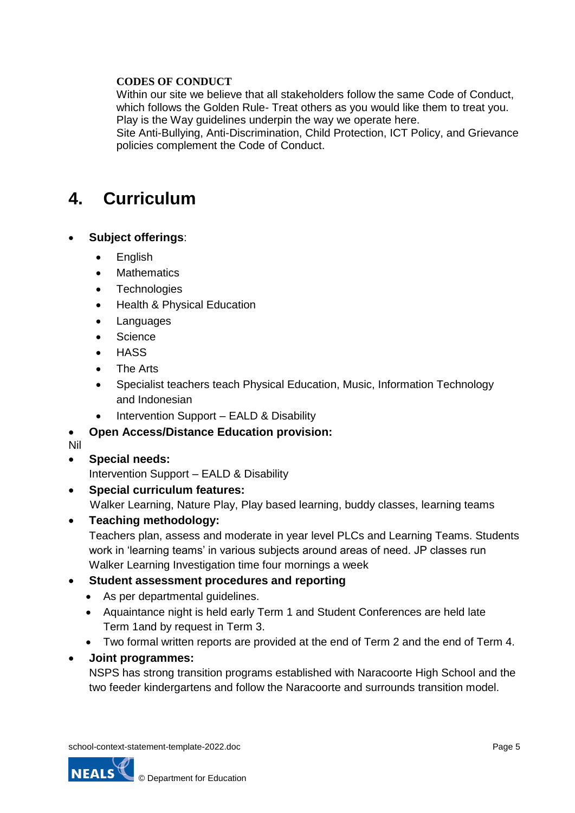#### **CODES OF CONDUCT**

Within our site we believe that all stakeholders follow the same Code of Conduct, which follows the Golden Rule- Treat others as you would like them to treat you. Play is the Way guidelines underpin the way we operate here.

Site Anti-Bullying, Anti-Discrimination, Child Protection, ICT Policy, and Grievance policies complement the Code of Conduct.

### **4. Curriculum**

#### **Subject offerings**:

- English
- **Mathematics**
- **Technologies**
- Health & Physical Education
- Languages
- **Science**
- **HASS**
- The Arts
- Specialist teachers teach Physical Education, Music, Information Technology and Indonesian
- Intervention Support EALD & Disability

#### **Open Access/Distance Education provision:**

Nil

**Special needs:** 

Intervention Support – EALD & Disability

**Special curriculum features:** 

Walker Learning, Nature Play, Play based learning, buddy classes, learning teams

#### **Teaching methodology:**

Teachers plan, assess and moderate in year level PLCs and Learning Teams. Students work in 'learning teams' in various subjects around areas of need. JP classes run Walker Learning Investigation time four mornings a week

#### **Student assessment procedures and reporting**

- As per departmental guidelines.
- Aquaintance night is held early Term 1 and Student Conferences are held late Term 1and by request in Term 3.
- Two formal written reports are provided at the end of Term 2 and the end of Term 4.

#### **Joint programmes:**

NSPS has strong transition programs established with Naracoorte High School and the two feeder kindergartens and follow the Naracoorte and surrounds transition model.

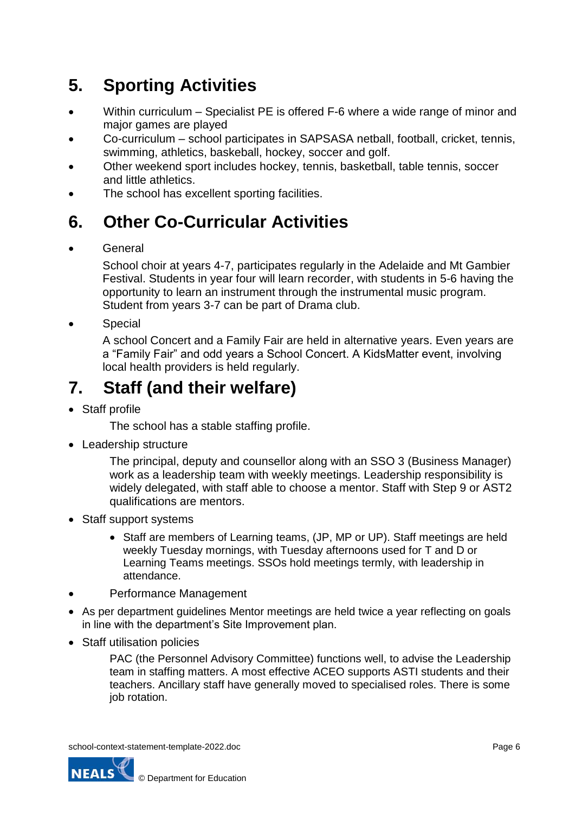# **5. Sporting Activities**

- Within curriculum Specialist PE is offered F-6 where a wide range of minor and major games are played
- Co-curriculum school participates in SAPSASA netball, football, cricket, tennis, swimming, athletics, baskeball, hockey, soccer and golf.
- Other weekend sport includes hockey, tennis, basketball, table tennis, soccer and little athletics.
- The school has excellent sporting facilities.

## **6. Other Co-Curricular Activities**

**General** 

School choir at years 4-7, participates regularly in the Adelaide and Mt Gambier Festival. Students in year four will learn recorder, with students in 5-6 having the opportunity to learn an instrument through the instrumental music program. Student from years 3-7 can be part of Drama club.

Special

A school Concert and a Family Fair are held in alternative years. Even years are a "Family Fair" and odd years a School Concert. A KidsMatter event, involving local health providers is held regularly.

## **7. Staff (and their welfare)**

Staff profile

The school has a stable staffing profile.

• Leadership structure

The principal, deputy and counsellor along with an SSO 3 (Business Manager) work as a leadership team with weekly meetings. Leadership responsibility is widely delegated, with staff able to choose a mentor. Staff with Step 9 or AST2 qualifications are mentors.

- Staff support systems
	- Staff are members of Learning teams, (JP, MP or UP). Staff meetings are held weekly Tuesday mornings, with Tuesday afternoons used for T and D or Learning Teams meetings. SSOs hold meetings termly, with leadership in attendance.
- Performance Management
- As per department guidelines Mentor meetings are held twice a year reflecting on goals in line with the department's Site Improvement plan.
- Staff utilisation policies

PAC (the Personnel Advisory Committee) functions well, to advise the Leadership team in staffing matters. A most effective ACEO supports ASTI students and their teachers. Ancillary staff have generally moved to specialised roles. There is some job rotation.

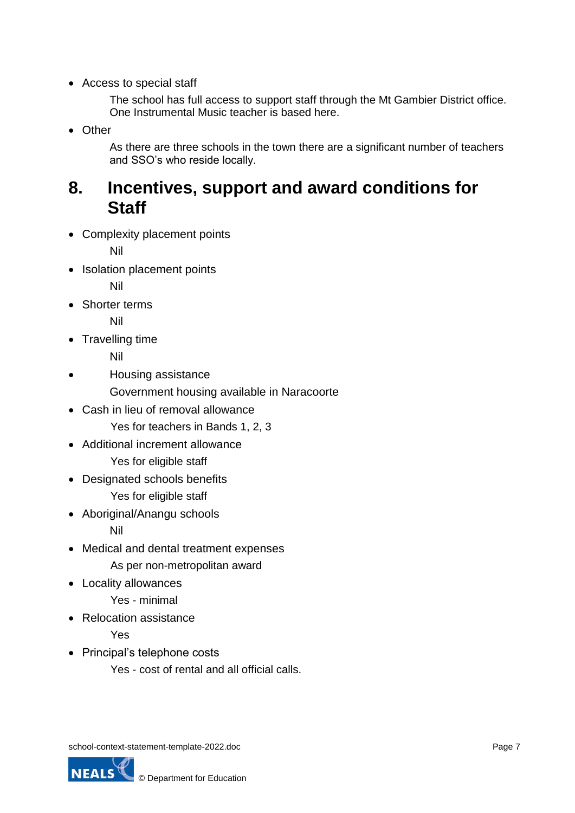Access to special staff

The school has full access to support staff through the Mt Gambier District office. One Instrumental Music teacher is based here.

• Other

As there are three schools in the town there are a significant number of teachers and SSO's who reside locally.

### **8. Incentives, support and award conditions for Staff**

Complexity placement points

Nil

• Isolation placement points

Nil

Shorter terms

Nil

Travelling time

Nil

Housing assistance

Government housing available in Naracoorte

- Cash in lieu of removal allowance Yes for teachers in Bands 1, 2, 3
- Additional increment allowance
	- Yes for eligible staff
- Designated schools benefits Yes for eligible staff
- Aboriginal/Anangu schools

Nil

• Medical and dental treatment expenses

As per non-metropolitan award

Locality allowances

Yes - minimal

• Relocation assistance

Yes

• Principal's telephone costs

Yes - cost of rental and all official calls.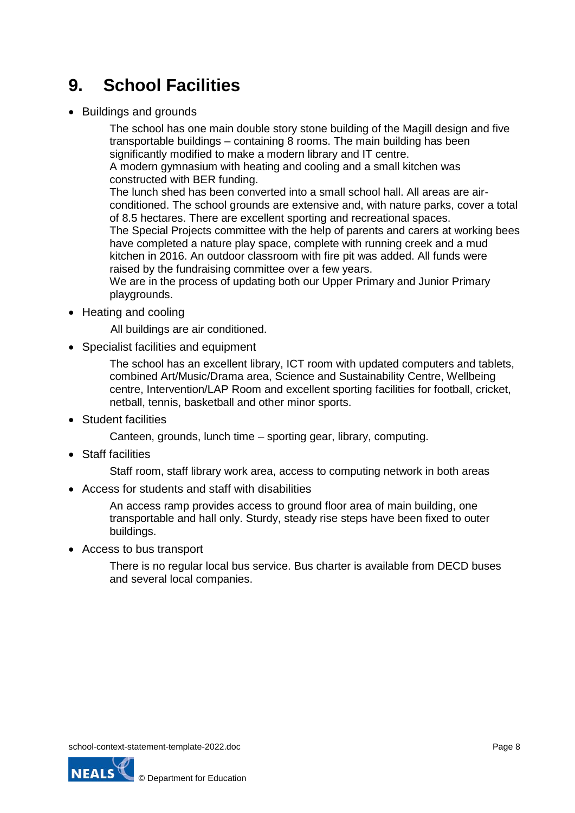# **9. School Facilities**

Buildings and grounds

The school has one main double story stone building of the Magill design and five transportable buildings – containing 8 rooms. The main building has been significantly modified to make a modern library and IT centre.

A modern gymnasium with heating and cooling and a small kitchen was constructed with BER funding.

The lunch shed has been converted into a small school hall. All areas are airconditioned. The school grounds are extensive and, with nature parks, cover a total of 8.5 hectares. There are excellent sporting and recreational spaces.

The Special Projects committee with the help of parents and carers at working bees have completed a nature play space, complete with running creek and a mud kitchen in 2016. An outdoor classroom with fire pit was added. All funds were raised by the fundraising committee over a few years.

We are in the process of updating both our Upper Primary and Junior Primary playgrounds.

• Heating and cooling

All buildings are air conditioned.

• Specialist facilities and equipment

The school has an excellent library, ICT room with updated computers and tablets, combined Art/Music/Drama area, Science and Sustainability Centre, Wellbeing centre, Intervention/LAP Room and excellent sporting facilities for football, cricket, netball, tennis, basketball and other minor sports.

• Student facilities

Canteen, grounds, lunch time – sporting gear, library, computing.

• Staff facilities

Staff room, staff library work area, access to computing network in both areas

Access for students and staff with disabilities

An access ramp provides access to ground floor area of main building, one transportable and hall only. Sturdy, steady rise steps have been fixed to outer buildings.

Access to bus transport

There is no regular local bus service. Bus charter is available from DECD buses and several local companies.

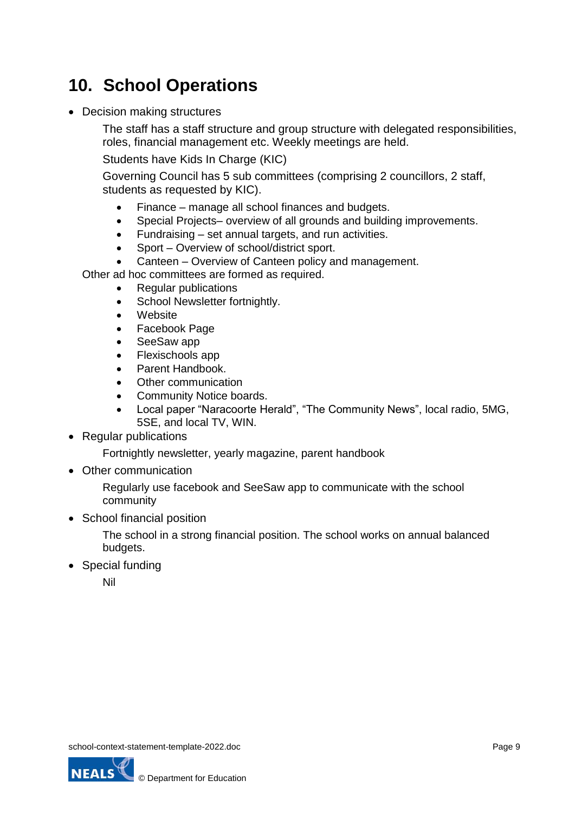# **10. School Operations**

• Decision making structures

The staff has a staff structure and group structure with delegated responsibilities, roles, financial management etc. Weekly meetings are held.

Students have Kids In Charge (KIC)

Governing Council has 5 sub committees (comprising 2 councillors, 2 staff, students as requested by KIC).

- Finance manage all school finances and budgets.
- Special Projects– overview of all grounds and building improvements.
- Fundraising set annual targets, and run activities.
- Sport Overview of school/district sport.
- Canteen Overview of Canteen policy and management.

Other ad hoc committees are formed as required.

- Regular publications
- School Newsletter fortnightly.
- Website
- Facebook Page
- SeeSaw app
- Flexischools app
- Parent Handbook.
- Other communication
- Community Notice boards.
- Local paper "Naracoorte Herald", "The Community News", local radio, 5MG, 5SE, and local TV, WIN.
- Regular publications

Fortnightly newsletter, yearly magazine, parent handbook

• Other communication

Regularly use facebook and SeeSaw app to communicate with the school community

• School financial position

The school in a strong financial position. The school works on annual balanced budgets.

• Special funding

Nil